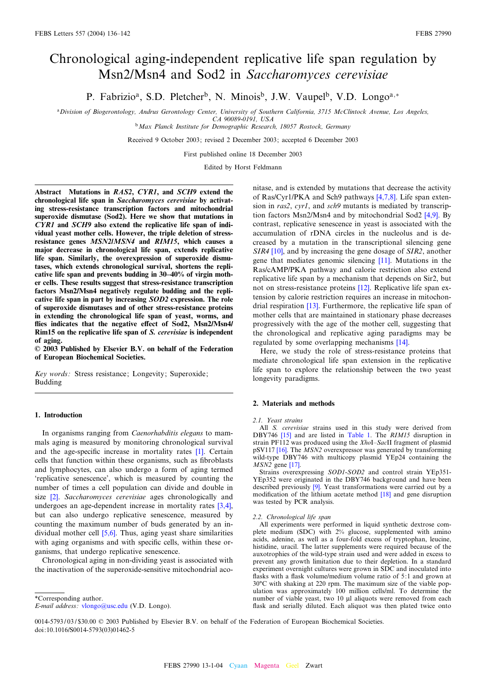# <span id="page-0-0"></span>Chronological aging-independent replicative life span regulation by Msn2/Msn4 and Sod2 in Saccharomyces cerevisiae

P. Fabrizio<sup>a</sup>, S.D. Pletcher<sup>b</sup>, N. Minois<sup>b</sup>, J.W. Vaupel<sup>b</sup>, V.D. Longo<sup>a,\*</sup>

<sup>a</sup>Division of Biogerontology, Andrus Gerontology Center, University of Southern California, 3715 McClintock Avenue, Los Angeles, CA 90089-0191, USA

<sup>b</sup>Max Planck Institute for Demographic Research, 18057 Rostock, Germany

Received 9 October 2003; revised 2 December 2003; accepted 6 December 2003

First published online 18 December 2003

Edited by Horst Feldmann

Abstract Mutations in RAS2, CYR1, and SCH9 extend the chronological life span in Saccharomyces cerevisiae by activating stress-resistance transcription factors and mitochondrial superoxide dismutase (Sod2). Here we show that mutations in CYR1 and SCH9 also extend the replicative life span of individual yeast mother cells. However, the triple deletion of stressresistance genes MSN2/MSN4 and RIM15, which causes a major decrease in chronological life span, extends replicative life span. Similarly, the overexpression of superoxide dismutases, which extends chronological survival, shortens the replicative life span and prevents budding in 30^40% of virgin mother cells. These results suggest that stress-resistance transcription factors Msn2/Msn4 negatively regulate budding and the replicative life span in part by increasing SOD2 expression. The role of superoxide dismutases and of other stress-resistance proteins in extending the chronological life span of yeast, worms, and flies indicates that the negative effect of Sod2, Msn2/Msn4/ Rim15 on the replicative life span of S. cerevisiae is independent of aging.

 $Q$  2003 Published by Elsevier B.V. on behalf of the Federation of European Biochemical Societies.

Key words: Stress resistance; Longevity; Superoxide; Budding

#### 1. Introduction

In organisms ranging from Caenorhabditis elegans to mammals aging is measured by monitoring chronological survival and the age-specific increase in mortality rates  $[1]$ . Certain cells that function within these organisms, such as fibroblasts and lymphocytes, can also undergo a form of aging termed 'replicative senescence', which is measured by counting the number of times a cell population can divide and double in size <a>[\[2\]](#page-6-0)</a>. Saccharomyces cerevisiae ages chronologically and undergoes an age-dependent increase in mortality rates [\[3,4\],](#page-6-0) but can also undergo replicative senescence, measured by counting the maximum number of buds generated by an individual mother cell [\[5,6\].](#page-6-0) Thus, aging yeast share similarities with aging organisms and with specific cells, within these organisms, that undergo replicative senescence.

Chronological aging in non-dividing yeast is associated with the inactivation of the superoxide-sensitive mitochondrial aco-

\*Corresponding author.

nitase, and is extended by mutations that decrease the activity of Ras/Cyr1/PKA and Sch9 pathways [\[4,7,8\].](#page-6-0) Life span extension in ras2, cyr1, and sch9 mutants is mediated by transcription factors Msn2/Msn4 and by mitochondrial Sod2 [\[4,9\].](#page-6-0) By contrast, replicative senescence in yeast is associated with the accumulation of rDNA circles in the nucleolus and is decreased by a mutation in the transcriptional silencing gene SIR4 [\[10\]](#page-6-0), and by increasing the gene dosage of SIR2, another gene that mediates genomic silencing [\[11\].](#page-6-0) Mutations in the Ras/cAMP/PKA pathway and calorie restriction also extend replicative life span by a mechanism that depends on Sir2, but not on stress-resistance proteins [\[12\]](#page-6-0). Replicative life span extension by calorie restriction requires an increase in mitochondrial respiration [\[13\]](#page-6-0). Furthermore, the replicative life span of mother cells that are maintained in stationary phase decreases progressively with the age of the mother cell, suggesting that the chronological and replicative aging paradigms may be regulated by some overlapping mechanisms [\[14\]](#page-6-0).

Here, we study the role of stress-resistance proteins that mediate chronological life span extension in the replicative life span to explore the relationship between the two yeast longevity paradigms.

## 2. Materials and methods

2.1. Yeast strains

All S. cerevisiae strains used in this study were derived from DBY746 [\[15\]](#page-6-0) and are listed in [Table 1.](#page-1-0) The RIM15 disruption in strain PF112 was produced using the  $XhoI-SacII$  fragment of plasmid pSV117 [\[16\].](#page-6-0) The MSN2 overexpressor was generated by transforming wild-type DBY746 with multicopy plasmid YEp24 containing the MSN2 gene [\[17\]](#page-6-0).

Strains overexpressing SOD1-SOD2 and control strain YEp351- YEp352 were originated in the DBY746 background and have been described previously [\[9\].](#page-6-0) Yeast transformations were carried out by a modification of the lithium acetate method  $[18]$  and gene disruption was tested by PCR analysis.

#### 2.2. Chronological life span

All experiments were performed in liquid synthetic dextrose complete medium (SDC) with 2% glucose, supplemented with amino acids, adenine, as well as a four-fold excess of tryptophan, leucine, histidine, uracil. The latter supplements were required because of the auxotrophies of the wild-type strain used and were added in excess to prevent any growth limitation due to their depletion. In a standard experiment overnight cultures were grown in SDC and inoculated into flasks with a flask volume/medium volume ratio of 5:1 and grown at 30°C with shaking at 220 rpm. The maximum size of the viable population was approximately 100 million cells/ml. To determine the number of viable yeast, two 10 µl aliquots were removed from each flask and serially diluted. Each aliquot was then plated twice onto

0014-5793/03/\$30.00 © 2003 Published by Elsevier B.V. on behalf of the Federation of European Biochemical Societies. doi:10.1016/S0014-5793(03)01462-5

E-mail address: [vlongo@usc.edu](mailto:vlongo@usc.edu) (V.D. Longo).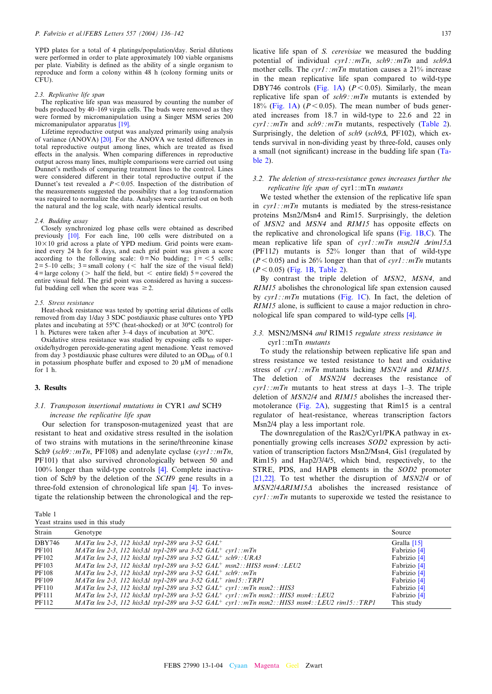<span id="page-1-0"></span>YPD plates for a total of 4 platings/population/day. Serial dilutions were performed in order to plate approximately 100 viable organisms per plate. Viability is defined as the ability of a single organism to reproduce and form a colony within 48 h (colony forming units or CFU).

#### 2.3. Replicative life span

The replicative life span was measured by counting the number of buds produced by 40–169 virgin cells. The buds were removed as they were formed by micromanipulation using a Singer MSM series 200 micromanipulator apparatus [\[19\].](#page-6-0)

Lifetime reproductive output was analyzed primarily using analysis of variance  $(ANOVA)$   $[20]$ . For the ANOVA we tested differences in total reproductive output among lines, which are treated as fixed effects in the analysis. When comparing differences in reproductive output across many lines, multiple comparisons were carried out using Dunnet's methods of comparing treatment lines to the control. Lines were considered different in their total reproductive output if the Dunnet's test revealed a  $P < 0.05$ . Inspection of the distribution of the measurements suggested the possibility that a log transformation was required to normalize the data. Analyses were carried out on both the natural and the log scale, with nearly identical results.

## 2.4. Budding assay

Closely synchronized log phase cells were obtained as described previously [\[10\].](#page-6-0) For each line, 100 cells were distributed on a  $10\times10$  grid across a plate of YPD medium. Grid points were examined every 24 h for 8 days, and each grid point was given a score according to the following scale:  $0 = No$  budding;  $1 = 5$  cells;  $2 = 5-10$  cells;  $3 =$ small colony (  $6$  half the size of the visual field)  $4 = \text{large colony}$  ( > half the field, but < entire field)  $5 = \text{covered the}$ entire visual field. The grid point was considered as having a successful budding cell when the score was  $\geq 2$ .

#### 2.5. Stress resistance

Heat-shock resistance was tested by spotting serial dilutions of cells removed from day 1/day 3 SDC postdiauxic phase cultures onto YPD plates and incubating at  $55^{\circ}$ C (heat-shocked) or at  $30^{\circ}$ C (control) for 1 h. Pictures were taken after  $3-4$  days of incubation at  $30^{\circ}$ C.

Oxidative stress resistance was studied by exposing cells to superoxide/hydrogen peroxide-generating agent menadione. Yeast removed from day 3 postdiauxic phase cultures were diluted to an  $OD_{600}$  of 0.1 in potassium phosphate buffer and exposed to 20  $\mu$ M of menadione for 1 h.

#### 3. Results

# 3.1. Transposon insertional mutations in CYR1 and SCH9 increase the replicative life span

Our selection for transposon-mutagenized yeast that are resistant to heat and oxidative stress resulted in the isolation of two strains with mutations in the serine/threonine kinase Sch9 (sch9:: $mTn$ , PF108) and adenylate cyclase (cyr1:: $mTn$ , PF101) that also survived chronologically between 50 and 100% longer than wild-type controls [\[4\]](#page-6-0). Complete inactivation of Sch9 by the deletion of the SCH9 gene results in a three-fold extension of chronological life span [\[4\].](#page-6-0) To investigate the relationship between the chronological and the rep-

Table 1 Yeast strains used in this study

licative life span of S. cerevisiae we measured the budding potential of individual  $cyr1$ : : $mTn$ ,  $sch9$ : : $mTn$  and  $sch9\Delta$ mother cells. The  $cvr1$ : : $mTn$  mutation causes a 21% increase in the mean replicative life span compared to wild-type DBY746 controls ([Fig. 1A](#page-2-0)) ( $P < 0.05$ ). Similarly, the mean replicative life span of  $sch9$ : : $mTn$  mutants is extended by 18% [\(Fig. 1A\)](#page-2-0) ( $P < 0.05$ ). The mean number of buds generated increases from 18.7 in wild-type to 22.6 and 22 in  $cyr1$ : :*mTn* and  $sch9$ : :*mTn* mutants, respectively [\(Table 2\)](#page-3-0). Surprisingly, the deletion of  $sch9$  ( $sch9\Delta$ , PF102), which extends survival in non-dividing yeast by three-fold, causes only a small (not significant) increase in the budding life span  $(T_a - T_a)$ [ble 2](#page-3-0)).

## 3.2. The deletion of stress-resistance genes increases further the replicative life span of cyr1::mTn mutants

We tested whether the extension of the replicative life span in  $cvr1$ : : $mTn$  mutants is mediated by the stress-resistance proteins Msn2/Msn4 and Rim15. Surprisingly, the deletion of MSN2 and MSN4 and RIM15 has opposite effects on the replicative and chronological life spans [\(Fig. 1B,C\)](#page-2-0). The mean replicative life span of cyr1 ::  $mTn$  msn2/4  $\Delta$ rim15 $\Delta$ (PF112) mutants is 52% longer than that of wild-type  $(P<0.05)$  and is 26% longer than that of cyr1: : mTn mutants  $(P < 0.05)$  ([Fig. 1B,](#page-2-0) [Table 2](#page-3-0)).

By contrast the triple deletion of MSN2, MSN4, and RIM15 abolishes the chronological life span extension caused by  $cyr1$ : :*mTn* mutations [\(Fig. 1C\)](#page-2-0). In fact, the deletion of RIM15 alone, is sufficient to cause a major reduction in chronological life span compared to wild-type cells [\[4\].](#page-6-0)

# 3.3. MSN2/MSN4 and RIM15 regulate stress resistance in cyr1::mTn mutants

To study the relationship between replicative life span and stress resistance we tested resistance to heat and oxidative stress of  $cvr1$ : : $mTn$  mutants lacking  $MSN2/4$  and  $RIM15$ . The deletion of MSN2/4 decreases the resistance of  $cvr1$ : : $mTn$  mutants to heat stress at days 1-3. The triple deletion of MSN2/4 and RIM15 abolishes the increased thermotolerance [\(Fig. 2A](#page-3-0)), suggesting that Rim15 is a central regulator of heat-resistance, whereas transcription factors Msn2/4 play a less important role.

The downregulation of the Ras2/Cyr1/PKA pathway in exponentially growing cells increases SOD2 expression by activation of transcription factors Msn2/Msn4, Gis1 (regulated by Rim15) and Hap2/3/4/5, which bind, respectively, to the STRE, PDS, and HAPB elements in the SOD2 promoter [\[21,22\]](#page-6-0). To test whether the disruption of MSN2/4 or of  $MSN2/4\Delta RIM15\Delta$  abolishes the increased resistance of  $cyr1$ : : $mTn$  mutants to superoxide we tested the resistance to

| Strain        | Genotype                                                                                                                   | Source       |
|---------------|----------------------------------------------------------------------------------------------------------------------------|--------------|
| <b>DBY746</b> | $MAT\alpha$ leu 2-3, 112 his $3\Delta l$ trp1-289 ura 3-52 GAL <sup>+</sup>                                                | Gralla [15]  |
| <b>PF101</b>  | $MAT\alpha$ leu 2-3, 112 his3 $\Delta$ 1 trp1-289 ura 3-52 GAL <sup>+</sup> cyr1:: $mTn$                                   | Fabrizio [4] |
| PF102         | $MAT\alpha$ leu 2-3, 112 his $3\Delta l$ trp1-289 ura 3-52 $GAL^+$ sch9:: URA3                                             | Fabrizio [4] |
| PF103         | $MAT\alpha$ leu 2-3, 112 his3 $\Delta$ 1 trp1-289 ura 3-52 $GAL^+$ msn2:: HIS3 msn4:: LEU2                                 | Fabrizio [4] |
| PF108         | $MAT\alpha$ leu 2-3, 112 his3 $\Delta$ 1 trp1-289 ura 3-52 $GAL^+$ sch9:: $mTn$                                            | Fabrizio [4] |
| PF109         | $MAT\alpha$ leu 2-3, 112 his $3\Delta l$ trp1-289 ura 3-52 $GAL^+$ rim15:: TRP1                                            | Fabrizio [4] |
| PF110         | $MAT\alpha$ leu 2-3, 112 his $3\Delta l$ trp1-289 ura 3-52 $GAL^+$ cyr1: $mTn$ msn2: : HIS3                                | Fabrizio [4] |
| PF111         | $MAT\alpha$ leu 2-3, 112 his $3\Delta 1$ trp1-289 ura 3-52 $GAL^+$ cyr1:: $mTn$ msn2::HIS3 msn4::LEU2                      | Fabrizio [4] |
| PF112         | $MAT\alpha$ leu 2-3, 112 his3 $\Delta$ 1 trp1-289 ura 3-52 $GAL^+$ cyr1:: $mTn$ msn2:: $HIS3$ msn4:: $LEU2$ rim15:: $TRPI$ | This study   |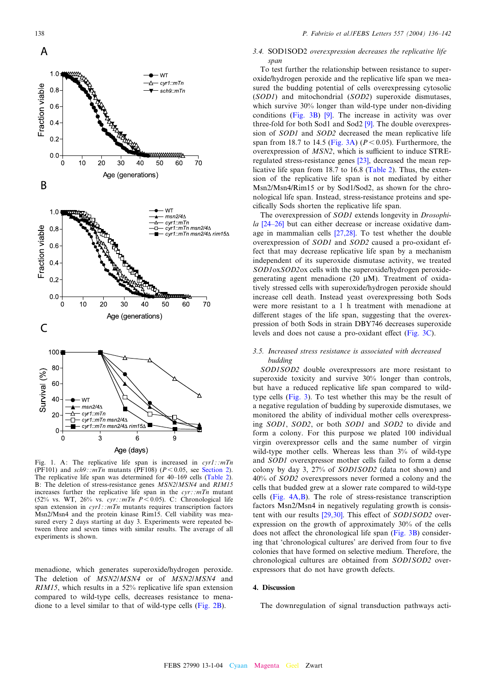<span id="page-2-0"></span>

Fig. 1. A: The replicative life span is increased in  $cyr1$ : : $mTn$ (PF101) and  $sch9$ : : $mTn$  mutants (PF108) ( $P < 0.05$ , see [Section 2](#page-0-0)). The replicative life span was determined for 40–169 cells [\(Table 2](#page-3-0)). B: The deletion of stress-resistance genes *MSN2/MSN4* and *RIM15* increases further the replicative life span in the  $cyr$ : :mTn mutant (52% vs. WT, 26% vs. cyr: :  $mTn$  P < 0.05). C: Chronological life span extension in  $cyr1$ : : $mTn$  mutants requires transcription factors Msn2/Msn4 and the protein kinase Rim15. Cell viability was measured every 2 days starting at day 3. Experiments were repeated between three and seven times with similar results. The average of all experiments is shown.

menadione, which generates superoxide/hydrogen peroxide. The deletion of MSN2/MSN4 or of MSN2/MSN4 and RIM15, which results in a 52% replicative life span extension compared to wild-type cells, decreases resistance to menadione to a level similar to that of wild-type cells ([Fig. 2B](#page-3-0)).

#### 3.4. SOD1SOD2 overexpression decreases the replicative life span

To test further the relationship between resistance to superoxide/hydrogen peroxide and the replicative life span we measured the budding potential of cells overexpressing cytosolic (SOD1) and mitochondrial (SOD2) superoxide dismutases, which survive 30% longer than wild-type under non-dividing conditions ([Fig. 3B\)](#page-4-0) [\[9\].](#page-6-0) The increase in activity was over three-fold for both Sod1 and Sod2 [\[9\].](#page-6-0) The double overexpression of SOD1 and SOD2 decreased the mean replicative life span from 18.7 to 14.5 [\(Fig. 3A\)](#page-4-0) ( $P < 0.05$ ). Furthermore, the overexpression of  $MSN2$ , which is sufficient to induce  $STRE$ regulated stress-resistance genes [\[23\]](#page-6-0), decreased the mean replicative life span from 18.7 to 16.8 [\(Table 2\)](#page-3-0). Thus, the extension of the replicative life span is not mediated by either Msn2/Msn4/Rim15 or by Sod1/Sod2, as shown for the chronological life span. Instead, stress-resistance proteins and specifically Sods shorten the replicative life span.

The overexpression of SOD1 extends longevity in Drosophi $la$  [24-26] but can either decrease or increase oxidative damage in mammalian cells [\[27,28\].](#page-6-0) To test whether the double overexpression of SOD1 and SOD2 caused a pro-oxidant effect that may decrease replicative life span by a mechanism independent of its superoxide dismutase activity, we treated SOD1oxSOD2ox cells with the superoxide/hydrogen peroxidegenerating agent menadione (20 WM). Treatment of oxidatively stressed cells with superoxide/hydrogen peroxide should increase cell death. Instead yeast overexpressing both Sods were more resistant to a 1 h treatment with menadione at different stages of the life span, suggesting that the overexpression of both Sods in strain DBY746 decreases superoxide levels and does not cause a pro-oxidant effect (Fig.  $3C$ ).

# 3.5. Increased stress resistance is associated with decreased budding

SOD1SOD2 double overexpressors are more resistant to superoxide toxicity and survive 30% longer than controls, but have a reduced replicative life span compared to wildtype cells ([Fig. 3](#page-4-0)). To test whether this may be the result of a negative regulation of budding by superoxide dismutases, we monitored the ability of individual mother cells overexpressing SOD1, SOD2, or both SOD1 and SOD2 to divide and form a colony. For this purpose we plated 100 individual virgin overexpressor cells and the same number of virgin wild-type mother cells. Whereas less than 3% of wild-type and SOD1 overexpressor mother cells failed to form a dense colony by day 3, 27% of SOD1SOD2 (data not shown) and 40% of SOD2 overexpressors never formed a colony and the cells that budded grew at a slower rate compared to wild-type cells ([Fig. 4A,B\)](#page-4-0). The role of stress-resistance transcription factors Msn2/Msn4 in negatively regulating growth is consistent with our results  $[29,30]$ . This effect of SOD1SOD2 overexpression on the growth of approximately 30% of the cells does not affect the chronological life span  $(Fig. 3B)$  $(Fig. 3B)$  considering that 'chronological cultures' are derived from four to five colonies that have formed on selective medium. Therefore, the chronological cultures are obtained from SOD1SOD2 overexpressors that do not have growth defects.

# 4. Discussion

The downregulation of signal transduction pathways acti-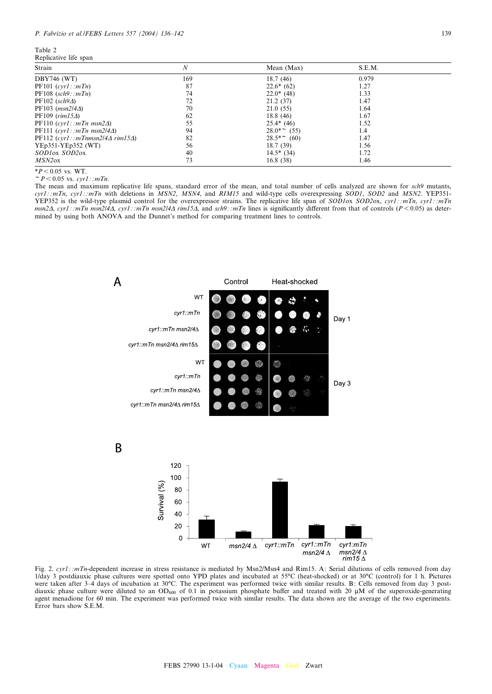<span id="page-3-0"></span>Table 2

Replicative life span

| Strain                                      | N   | Mean (Max)      | S.E.M. |  |
|---------------------------------------------|-----|-----------------|--------|--|
| <b>DBY746 (WT)</b>                          | 169 | 18.7(46)        | 0.979  |  |
| PF101 (cyr1::mTn)                           | 87  | $22.6*(62)$     | 1.27   |  |
| $PF108$ (sch9:: $mTn$ )                     | 74  | $22.0*$ (48)    | 1.33   |  |
| $PF102$ (sch $9\Delta$ )                    | 72  | 21.2(37)        | 1.47   |  |
| $PF103$ ( <i>msn2/44</i> )                  | 70  | 21.0(55)        | 1.64   |  |
| $PF109 (rim15\Delta)$                       | 62  | 18.8(46)        | 1.67   |  |
| $PF110 (cyr1::mTn msn2\Delta)$              | 55  | $25.4*$ (46)    | 1.52   |  |
| PF111 $(cvr1::mTn$ msn2/4 $\Delta$ )        | 94  | $28.0^{*}$ (55) | 1.4    |  |
| PF112 $(cvr1::mThmsn2/4\Delta rim15\Delta)$ | 82  | $28.5^*$ (60)   | 1.47   |  |
| $YEp351-YEp352$ (WT)                        | 56  | 18.7(39)        | 1.56   |  |
| SODIOX SOD20X                               | 40  | $14.5*$ (34)    | 1.72   |  |
| MSN2ox                                      | 73  | 16.8(38)        | 1.46   |  |

\* $P < 0.05$  vs. WT.<br>  $\sim P < 0.05$  vs. cyr1 : :mTn.

The mean and maximum replicative life spans, standard error of the mean, and total number of cells analyzed are shown for sch9 mutants,  $cyr1$ :: $mTn$ ,  $cyr1$ :: $mTn$  with deletions in  $\overline{MSN2}$ ,  $\overline{MSN4}$ , and  $\overline{RIM15}$  and wild-type cells overexpressing SOD1, SOD2 and MSN2. YEP351-YEP352 is the wild-type plasmid control for the overexpressor strains. The replicative life span of SOD1ox SOD2ox, cyr1 : :mTn, cyr1 : :mTn msn2 $\Delta$ , cyr1 : :mTn msn2/4 $\Delta$ , cyr1 : :mTn msn2/4 $\Delta$  rim15 $\Delta$ , and sch9 : :mTn lines is significantly different from that of controls (P < 0.05) as determined by using both ANOVA and the Dunnet's method for comparing treatment lines to controls.



Fig. 2. cyr1 ::mTn-dependent increase in stress resistance is mediated by Msn2/Msn4 and Rim15. A: Serial dilutions of cells removed from day 1/day 3 postdiauxic phase cultures were spotted onto YPD plates and incubated at 55°C (heat-shocked) or at 30°C (control) for 1 h. Pictures were taken after 3-4 days of incubation at 30°C. The experiment was performed twice with similar results. B: Cells removed from day 3 postdiauxic phase culture were diluted to an OD<sub>600</sub> of 0.1 in potassium phosphate buffer and treated with 20  $\mu$ M of the superoxide-generating agent menadione for 60 min. The experiment was performed twice with similar results. The data shown are the average of the two experiments. Error bars show S.E.M.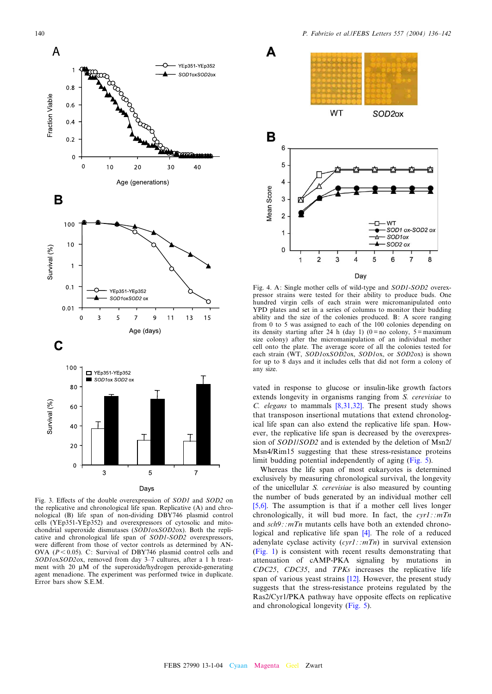<span id="page-4-0"></span>

Fig. 3. Effects of the double overexpression of SOD1 and SOD2 on the replicative and chronological life span. Replicative (A) and chronological (B) life span of non-dividing DBY746 plasmid control cells (YEp351-YEp352) and overexpressors of cytosolic and mitochondrial superoxide dismutases (SOD1oxSOD2ox). Both the replicative and chronological life span of SOD1-SOD2 overexpressors, were different from those of vector controls as determined by AN-OVA ( $P < 0.05$ ). C: Survival of DBY746 plasmid control cells and SOD1oxSOD2ox, removed from day 3-7 cultures, after a 1 h treatment with 20  $\mu$ M of the superoxide/hydrogen peroxide-generating agent menadione. The experiment was performed twice in duplicate. Error bars show S.E.M.



Fig. 4. A: Single mother cells of wild-type and SOD1-SOD2 overexpressor strains were tested for their ability to produce buds. One hundred virgin cells of each strain were micromanipulated onto YPD plates and set in a series of columns to monitor their budding ability and the size of the colonies produced. B: A score ranging from 0 to 5 was assigned to each of the 100 colonies depending on its density starting after 24 h (day 1) ( $0 = no$  colony,  $5 = maximum$ size colony) after the micromanipulation of an individual mother cell onto the plate. The average score of all the colonies tested for each strain (WT, SOD1oxSOD2ox, SOD1ox, or SOD2ox) is shown for up to 8 days and it includes cells that did not form a colony of any size.

vated in response to glucose or insulin-like growth factors extends longevity in organisms ranging from S. cerevisiae to C. elegans to mammals  $[8,31,32]$ . The present study shows that transposon insertional mutations that extend chronological life span can also extend the replicative life span. However, the replicative life span is decreased by the overexpression of SOD1/SOD2 and is extended by the deletion of Msn2/ Msn4/Rim15 suggesting that these stress-resistance proteins limit budding potential independently of aging [\(Fig. 5\)](#page-5-0).

Whereas the life span of most eukaryotes is determined exclusively by measuring chronological survival, the longevity of the unicellular S. cerevisiae is also measured by counting the number of buds generated by an individual mother cell [\[5,6\]](#page-6-0). The assumption is that if a mother cell lives longer chronologically, it will bud more. In fact, the  $cyr1$ : : $mTn$ and  $sch9$ : :mTn mutants cells have both an extended chronological and replicative life span [\[4\].](#page-6-0) The role of a reduced adenylate cyclase activity  $(cyr1::mTn)$  in survival extension [\(Fig. 1](#page-2-0)) is consistent with recent results demonstrating that attenuation of cAMP-PKA signaling by mutations in CDC25, CDC35, and TPKs increases the replicative life span of various yeast strains [\[12\].](#page-6-0) However, the present study suggests that the stress-resistance proteins regulated by the Ras2/Cyr1/PKA pathway have opposite effects on replicative and chronological longevity ([Fig. 5](#page-5-0)).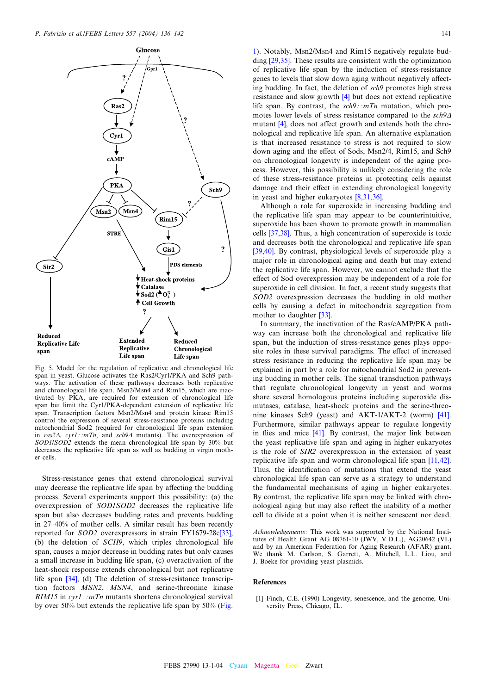<span id="page-5-0"></span>

Fig. 5. Model for the regulation of replicative and chronological life span in yeast. Glucose activates the Ras2/Cyr1/PKA and Sch9 pathways. The activation of these pathways decreases both replicative and chronological life span. Msn2/Msn4 and Rim15, which are inactivated by PKA, are required for extension of chronological life span but limit the Cyr1/PKA-dependent extension of replicative life span. Transcription factors Msn2/Msn4 and protein kinase Rim15 control the expression of several stress-resistance proteins including mitochondrial Sod2 (required for chronological life span extension in  $ras2\Delta$ ,  $cyr1$ : :mTn, and  $sch9\Delta$  mutants). The overexpression of SOD1/SOD2 extends the mean chronological life span by 30% but decreases the replicative life span as well as budding in virgin mother cells.

Stress-resistance genes that extend chronological survival may decrease the replicative life span by affecting the budding process. Several experiments support this possibility: (a) the overexpression of SOD1SOD2 decreases the replicative life span but also decreases budding rates and prevents budding in  $27-40%$  of mother cells. A similar result has been recently reported for SOD2 overexpressors in strain FY1679-28c[\[33\],](#page-6-0) (b) the deletion of SCH9, which triples chronological life span, causes a major decrease in budding rates but only causes a small increase in budding life span, (c) overactivation of the heat-shock response extends chronological but not replicative life span [\[34\]](#page-6-0), (d) The deletion of stress-resistance transcription factors MSN2, MSN4, and serine-threonine kinase  $RIM15$  in  $cyr1$ : :*mTn* mutants shortens chronological survival by over 50% but extends the replicative life span by 50% ([Fig.](#page-2-0)

[1\)](#page-2-0). Notably, Msn2/Msn4 and Rim15 negatively regulate budding [\[29,35\].](#page-6-0) These results are consistent with the optimization of replicative life span by the induction of stress-resistance genes to levels that slow down aging without negatively affecting budding. In fact, the deletion of sch9 promotes high stress resistance and slow growth [\[4\]](#page-6-0) but does not extend replicative life span. By contrast, the  $sch9$ : : $mTn$  mutation, which promotes lower levels of stress resistance compared to the  $sch9\Delta$ mutant  $[4]$ , does not affect growth and extends both the chronological and replicative life span. An alternative explanation is that increased resistance to stress is not required to slow down aging and the effect of Sods, Msn2/4, Rim15, and Sch9 on chronological longevity is independent of the aging process. However, this possibility is unlikely considering the role of these stress-resistance proteins in protecting cells against damage and their effect in extending chronological longevity in yeast and higher eukaryotes [\[8,31,36\].](#page-6-0)

Although a role for superoxide in increasing budding and the replicative life span may appear to be counterintuitive, superoxide has been shown to promote growth in mammalian cells [\[37,38\]](#page-6-0). Thus, a high concentration of superoxide is toxic and decreases both the chronological and replicative life span [\[39,40\]](#page-6-0). By contrast, physiological levels of superoxide play a major role in chronological aging and death but may extend the replicative life span. However, we cannot exclude that the effect of Sod overexpression may be independent of a role for superoxide in cell division. In fact, a recent study suggests that SOD2 overexpression decreases the budding in old mother cells by causing a defect in mitochondria segregation from mother to daughter [\[33\].](#page-6-0)

In summary, the inactivation of the Ras/cAMP/PKA pathway can increase both the chronological and replicative life span, but the induction of stress-resistance genes plays opposite roles in these survival paradigms. The effect of increased stress resistance in reducing the replicative life span may be explained in part by a role for mitochondrial Sod2 in preventing budding in mother cells. The signal transduction pathways that regulate chronological longevity in yeast and worms share several homologous proteins including superoxide dismutases, catalase, heat-shock proteins and the serine-threonine kinases Sch9 (yeast) and AKT-1/AKT-2 (worm) [\[41\].](#page-6-0) Furthermore, similar pathways appear to regulate longevity in flies and mice  $[41]$ . By contrast, the major link between the yeast replicative life span and aging in higher eukaryotes is the role of SIR2 overexpression in the extension of yeast replicative life span and worm chronological life span [\[11,42\].](#page-6-0) Thus, the identification of mutations that extend the yeast chronological life span can serve as a strategy to understand the fundamental mechanisms of aging in higher eukaryotes. By contrast, the replicative life span may be linked with chronological aging but may also reflect the inability of a mother cell to divide at a point when it is neither senescent nor dead.

Acknowledgements: This work was supported by the National Institutes of Health Grant AG 08761-10 (JWV, V.D.L.), AG20642 (VL) and by an American Federation for Aging Research (AFAR) grant. We thank M. Carlson, S. Garrett, A. Mitchell, L.L. Liou, and J. Boeke for providing yeast plasmids.

#### References

[1] Finch, C.E. (1990) Longevity, senescence, and the genome, University Press, Chicago, IL.